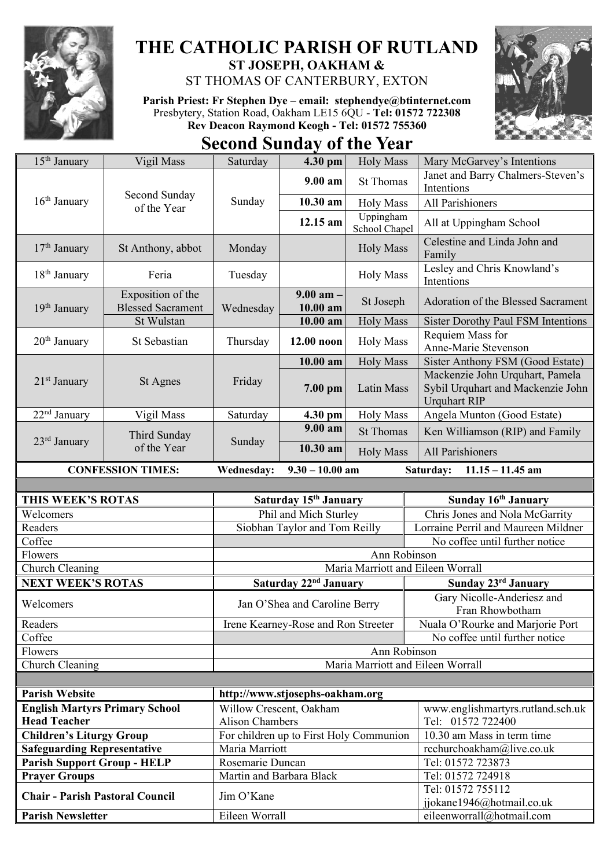

## **THE CATHOLIC PARISH OF RUTLAND ST JOSEPH, OAKHAM &**

ST THOMAS OF CANTERBURY, EXTON

**Parish Priest: Fr Stephen Dye** – **[email: stephendye@btinternet.com](mailto:email:%20%20stephendye@btinternet.com)** Presbytery, Station Road, Oakham LE15 6QU - **Tel: 01572 722308 Rev Deacon Raymond Keogh - Tel: 01572 755360**



**Second Sunday of the Year**

| $15th$ January                                                 | Vigil Mass                                                  | Saturday                               | 4.30 pm                                 | <b>Holy Mass</b>                  | Mary McGarvey's Intentions                                                                  |  |
|----------------------------------------------------------------|-------------------------------------------------------------|----------------------------------------|-----------------------------------------|-----------------------------------|---------------------------------------------------------------------------------------------|--|
| $16th$ January                                                 | Second Sunday<br>of the Year                                | Sunday                                 | $9.00 a$ m                              | <b>St Thomas</b>                  | Janet and Barry Chalmers-Steven's<br>Intentions                                             |  |
|                                                                |                                                             |                                        | 10.30 am                                | <b>Holy Mass</b>                  | All Parishioners                                                                            |  |
|                                                                |                                                             |                                        | 12.15 am                                | Uppingham<br>School Chapel        | All at Uppingham School                                                                     |  |
| $17th$ January                                                 | St Anthony, abbot                                           | Monday                                 |                                         | <b>Holy Mass</b>                  | Celestine and Linda John and<br>Family                                                      |  |
| 18 <sup>th</sup> January                                       | Feria                                                       | Tuesday                                |                                         | <b>Holy Mass</b>                  | Lesley and Chris Knowland's<br>Intentions                                                   |  |
| $19th$ January                                                 | Exposition of the<br><b>Blessed Sacrament</b><br>St Wulstan | Wednesday                              | $9.00$ am $-$<br>$10.00$ am             | St Joseph                         | Adoration of the Blessed Sacrament                                                          |  |
|                                                                |                                                             |                                        | $\overline{10.00}$ am                   | <b>Holy Mass</b>                  | <b>Sister Dorothy Paul FSM Intentions</b>                                                   |  |
| $20th$ January                                                 | St Sebastian                                                | Thursday                               | 12.00 noon                              | <b>Holy Mass</b>                  | Requiem Mass for<br>Anne-Marie Stevenson                                                    |  |
|                                                                |                                                             |                                        | 10.00 am                                | <b>Holy Mass</b>                  | Sister Anthony FSM (Good Estate)                                                            |  |
| $21st$ January                                                 | St Agnes                                                    | Friday                                 | 7.00 pm                                 | Latin Mass                        | Mackenzie John Urquhart, Pamela<br>Sybil Urquhart and Mackenzie John<br><b>Urquhart RIP</b> |  |
| $22nd$ January                                                 | Vigil Mass                                                  | Saturday                               | 4.30 pm                                 | <b>Holy Mass</b>                  | Angela Munton (Good Estate)                                                                 |  |
| $23rd$ January                                                 | Third Sunday<br>of the Year                                 | Sunday                                 | 9.00 am                                 | <b>St Thomas</b>                  | Ken Williamson (RIP) and Family                                                             |  |
|                                                                |                                                             |                                        | $10.30$ am                              | <b>Holy Mass</b>                  | All Parishioners                                                                            |  |
|                                                                | <b>CONFESSION TIMES:</b>                                    | <b>Wednesday:</b>                      | $9.30 - 10.00$ am                       |                                   | Saturday:<br>$11.15 - 11.45$ am                                                             |  |
|                                                                |                                                             |                                        |                                         |                                   |                                                                                             |  |
|                                                                |                                                             |                                        |                                         |                                   |                                                                                             |  |
| THIS WEEK'S ROTAS                                              |                                                             |                                        | Saturday 15 <sup>th</sup> January       |                                   | Sunday 16th January                                                                         |  |
| Welcomers                                                      |                                                             |                                        | Phil and Mich Sturley                   |                                   | Chris Jones and Nola McGarrity                                                              |  |
| Readers                                                        |                                                             |                                        | Siobhan Taylor and Tom Reilly           |                                   | Lorraine Perril and Maureen Mildner                                                         |  |
| Coffee                                                         |                                                             |                                        |                                         |                                   | No coffee until further notice                                                              |  |
| Flowers                                                        |                                                             |                                        |                                         | Ann Robinson                      |                                                                                             |  |
| Church Cleaning                                                |                                                             |                                        |                                         | Maria Marriott and Eileen Worrall |                                                                                             |  |
| <b>NEXT WEEK'S ROTAS</b>                                       |                                                             |                                        | Saturday 22 <sup>nd</sup> January       |                                   | Sunday 23rd January                                                                         |  |
| Welcomers                                                      |                                                             |                                        | Jan O'Shea and Caroline Berry           |                                   | Gary Nicolle-Anderiesz and                                                                  |  |
|                                                                |                                                             |                                        |                                         |                                   | Fran Rhowbotham                                                                             |  |
| Readers<br>Coffee                                              |                                                             |                                        | Irene Kearney-Rose and Ron Streeter     |                                   | Nuala O'Rourke and Marjorie Port<br>No coffee until further notice                          |  |
| Flowers                                                        |                                                             |                                        |                                         | Ann Robinson                      |                                                                                             |  |
| Church Cleaning                                                |                                                             |                                        |                                         | Maria Marriott and Eileen Worrall |                                                                                             |  |
|                                                                |                                                             |                                        |                                         |                                   |                                                                                             |  |
| <b>Parish Website</b>                                          |                                                             |                                        | http://www.stjosephs-oakham.org         |                                   |                                                                                             |  |
| <b>English Martyrs Primary School</b>                          |                                                             | Willow Crescent, Oakham                |                                         |                                   | www.englishmartyrs.rutland.sch.uk                                                           |  |
| <b>Head Teacher</b>                                            |                                                             | <b>Alison Chambers</b>                 |                                         |                                   | Tel: 01572 722400                                                                           |  |
| <b>Children's Liturgy Group</b>                                |                                                             |                                        | For children up to First Holy Communion |                                   | 10.30 am Mass in term time                                                                  |  |
| <b>Safeguarding Representative</b>                             |                                                             | Maria Marriott                         |                                         |                                   | rcchurchoakham@live.co.uk                                                                   |  |
| <b>Parish Support Group - HELP</b>                             |                                                             | Rosemarie Duncan                       |                                         |                                   | Tel: 01572 723873                                                                           |  |
| <b>Prayer Groups</b><br><b>Chair - Parish Pastoral Council</b> |                                                             | Martin and Barbara Black<br>Jim O'Kane |                                         |                                   | Tel: 01572 724918<br>Tel: 01572 755112                                                      |  |
| <b>Parish Newsletter</b>                                       |                                                             | Eileen Worrall                         |                                         |                                   | jjokane1946@hotmail.co.uk<br>eileenworrall@hotmail.com                                      |  |